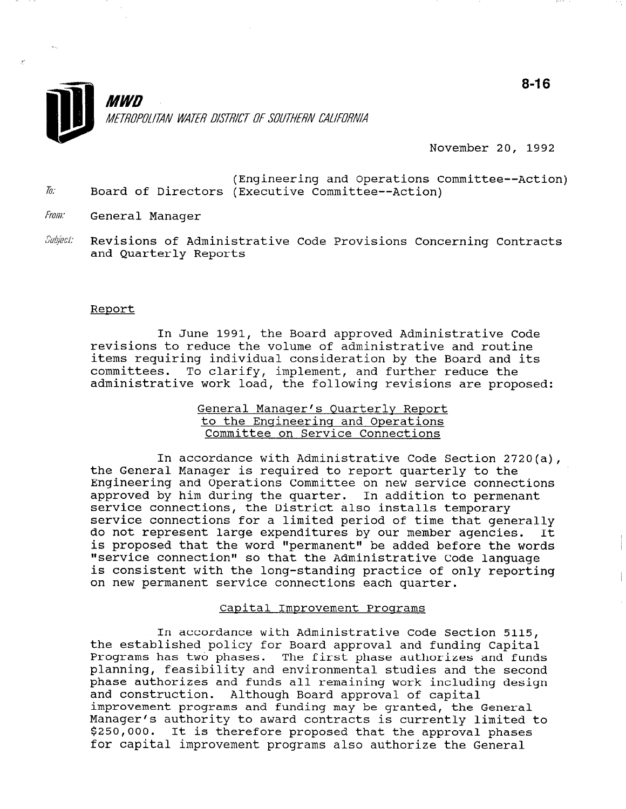

November 20, 1992

- (Engineering and Operations Committee--Action)  $\bar{b}$ . Board of Directors (Executive Committee--Action)
- From: General Manager
- Subject: Revisions of Administrative Code Provisions Concerning Contracts and Quarterly Reports

### Report

In June 1991, the Board approved Administrative Code revisions to reduce the volume of administrative and routine items requiring individual consideration by the Board and its committees. To clarify, implement, and further reduce the administrative work load, the following revisions are proposed:

# General Manager's Quarterly Report to the Engineering and Operations Committee on Service Connections

In accordance with Administrative Code Section 2720(a), the General Manager is required to report quarterly to the Engineering and Operations Committee on new service connections approved by him during the quarter. In addition to permenant service connections, the District also installs temporary service connections for a limited period of time that generally do not represent large expenditures by our member agencies. It is proposed that the word "permanent" be added before the words "service connection" so that the Administrative Code language is consistent with the long-standing practice of only reporting on new permanent service connections each quarter.

### Capital Improvement Proqrams

In accordance with Administrative Code Section 5115, the established policy for Board approval and funding Capital Programs has two phases. The first phase authorizes and funds Programs has two phases. The first phase authorizes and funds planning, feasibility and environmental studies and the second phase authorizes and funds all remaining work including design and construction. Although Board approval of capital improvement programs and funding may be granted, the General Manager's authority to award contracts is currently limited to \$250,000. It is therefore proposed that the approval phases<br>for capital improvement programs also authorize the General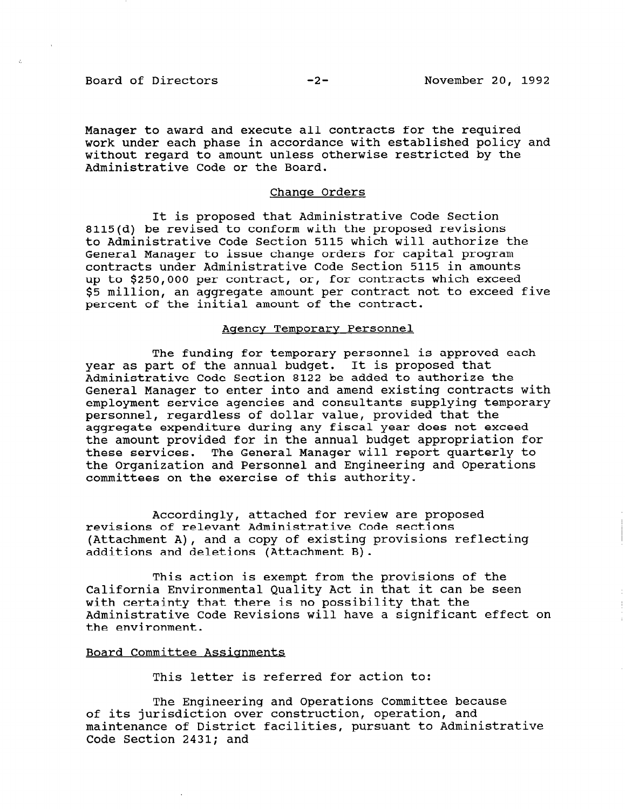Board of Directors -2- November 20, 1992

Manager to award and execute all contracts for the required work under each phase in accordance with established policy and without regard to amount unless otherwise restricted by the Administrative Code or the Board.

### Change Orders

It is proposed that Administrative Code Section 8115(d) be revised to conform with the proposed revisions to Administrative Code Section 5115 which will authorize the General Manager to issue change orders for capital program contracts under Administrative Code Section 5115 in amounts up to \$250,000 per contract, or, for contracts which exceed \$5 million, an aggregate amount per contract not to exceed five percent of the initial amount of the contract.

### Agencv Temporary Personnel

The funding for temporary personnel is approved each year as part of the annual budget. It is proposed that Administrative Code Section 8122 be added to authorize the General Manager to enter into and amend existing contracts with employment service agencies and consultants supplying temporary personnel, regardless of dollar value, provided that the aggregate expenditure during any fiscal year does not exceed the amount provided for in the annual budget appropriation for these services. The General Manager will report quarterly to the Organization and Personnel and Engineering and Operations committees on the exercise of this authority.

Accordingly, attached for review are proposed revisions of relevant Administrative Code sections (Attachment A), and a copy of existing provisions reflecting additions and deletions (Attachment B).

This action is exempt from the provisions of the California Environmental Quality Act in that it can be seen with certainty that there is no possibility that the Administrative Code Revisions will have a significant effect on the environment.

### Board Committee Assignments

This letter is referred for action to:

The Engineering and Operations Committee because The Engineering and Operations Committee Dec of its jurisaiction over construction, operation, and<br>maintenance of District facilities, pursuant to Administrat maintenance of District facilities, pursuant to Administrative<br>Code Section 2431: and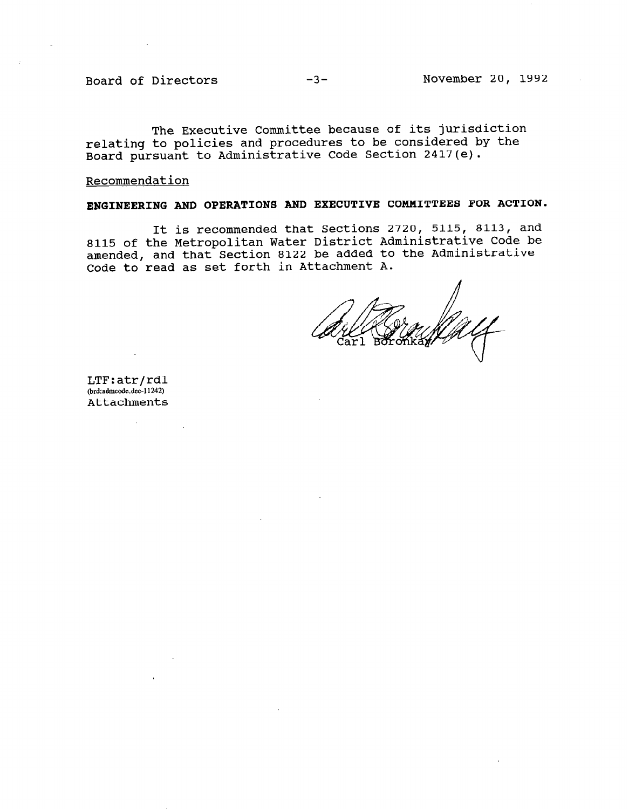The Executive Committee because of its jurisdiction relating to policies and procedures to be considered by the Board pursuant to Administrative Code Section 2417(e).

### Recommendation

# ENGINEERING AND OPERATIONS AND EXECUTIVE COMMITTEES FOR ACTION.

It is recommended that Sections 2720, 5115, 8113, and 8115 of the Metropolitan Water District Administrative Code be amended, and that Section 8122 be added to the Administrative Code to read as set forth in Attachment A.

lTF:atr, (brd:admcode.dec-11242)<br>Attachments

 $\sim$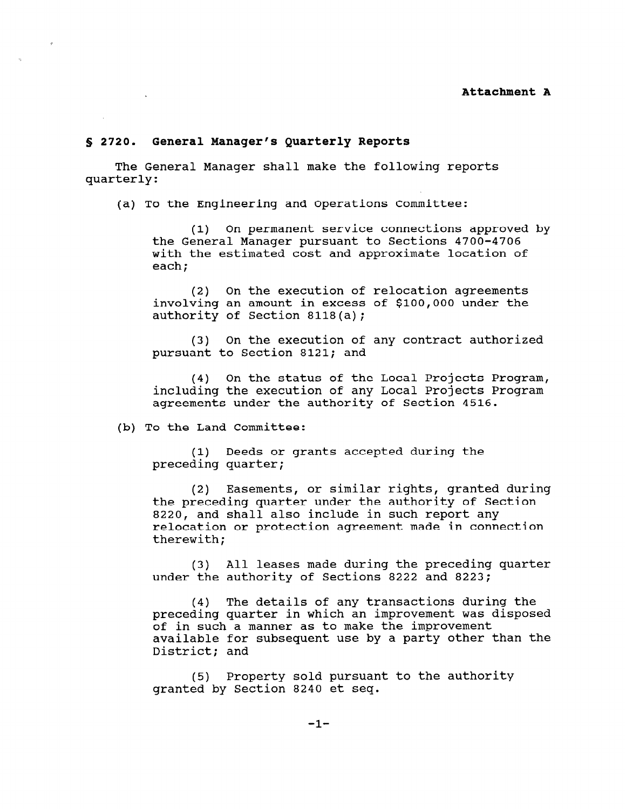### 5 2720. General Manager's Quarterly Reports

The General Manager shall make the following reports quarterly:

(a) To the Engineering and Operations Committee:

(1) On permanent service connections approved by the General Manager pursuant to Sections 4700-4706 with the estimated cost and approximate location of each;

(2) On the execution of relocation agreements involving an amount in excess of \$100,000 under the authority of Section 8118(a);

(31 On the execution of any contract authorized pursuant to Section 8121; and

(4) On the status of the Local Projects Program, including the execution of any Local Projects Program agreements under the authority of Section 4516.

(b) To the Land Committee:

(1) Deeds or grants accepted during the preceding quarter;

(2) Easements, or similar rights, granted during the preceding quarter under the authority of Section 8220, and shall also include in such report any relocation or protection agreement made in connection therewith;

(3) All leases made during the preceding quarter under the authority of Sections 8222 and 8223;

(4) The details of any transactions during the preceding quarter in which an improvement was disposed of in such a manner as to make the improvement available for subsequent use by a party other than the District; and

(5) Property sold pursuant to the authority granted by Section 8240 et seq.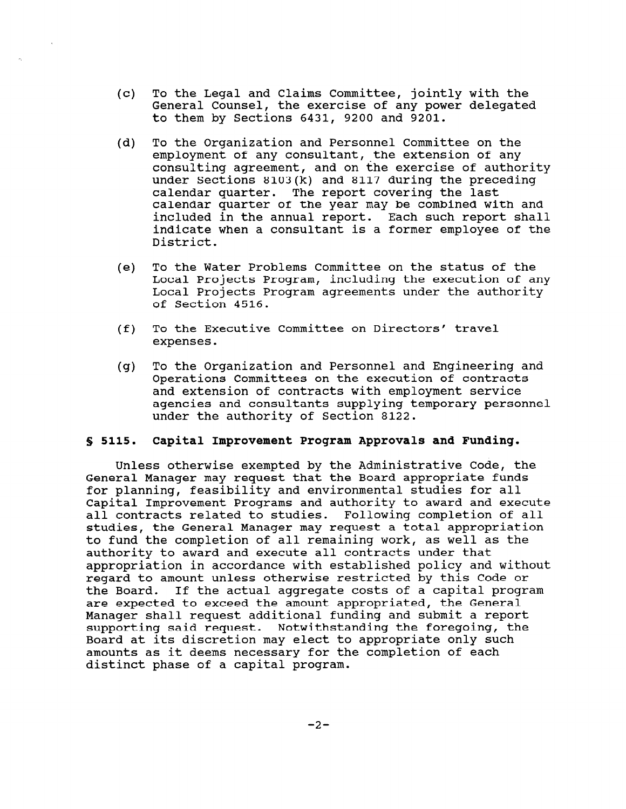- $(c)$ To the Legal and Claims Committee, jointly with the General Counsel, the exercise of any power delegated to them by Sections 6431, 9200 and 9201.
- (d) To the Organization and Personnel Committee on the employment of any consultant, the extension of any consulting agreement, and on the exercise of authority under Sections 8103(k) and 8117 during the preceding calendar quarter. The report covering the last calendar quarter of the year may be combined with and included in the annual report. Each such report shall indicate when a consultant is a former employee of the District.
- (e) To the Water Problems Committee on the status of the Local Projects Program, including the execution of any Local Projects Program agreements under the authority of Section 4516.
- $(f)$ To the Executive Committee on Directors' travel expenses.
- $(q)$ To the Organization and Personnel and Engineering and Operations Committees on the execution of contracts and extension of contracts with employment service agencies and consultants supplying temporary personnel under the authority of Section 8122.

# 5 5115. Capital Improvement Program Approvals and Funding.

Unless otherwise exempted by the Administrative Code, the General Manager may request that the Board appropriate funds for planning, feasibility and environmental studies for all Capital Improvement Programs and authority to award and execute all contracts related to studies. Following completion of all studies, the General Manager may request a total appropriation to fund the completion of all remaining work, as well as the authority to award and execute all contracts under that appropriation in accordance with established policy and without regard to amount unless otherwise restricted by this Code or the Board. If the actual aggregate costs of a capital program are expected to exceed the amount appropriated, the General Manager shall request additional funding and submit a report supporting said request. Notwithstanding the foregoing, the Board at its discretion may elect to appropriate only such amounts as it deems necessary for the completion of each distinct phase of a capital program.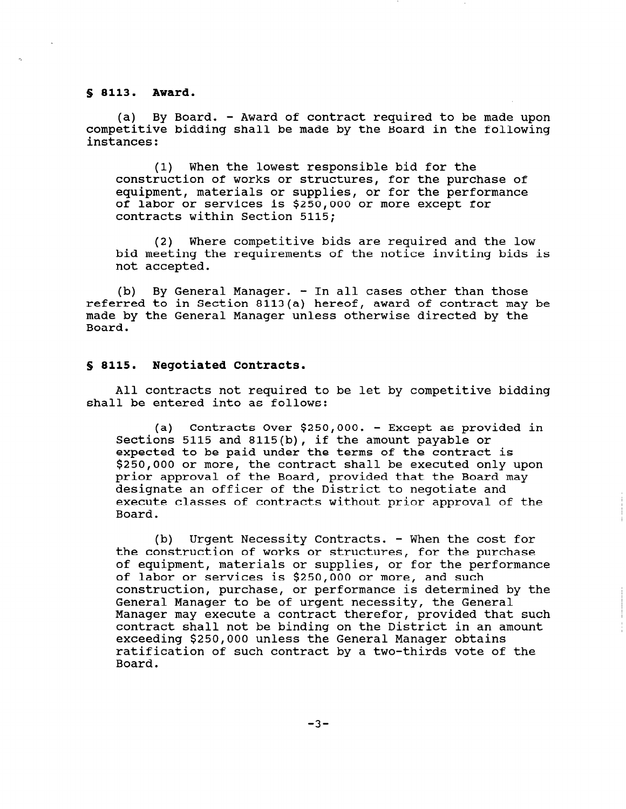### \$ 8113. Award.

(a) By Board. - Award of contract required to be made upon competitive bidding shall be made by the Board in the following instances:

(1) When the lowest responsible bid for the construction of works or structures, for the purchase of equipment, materials or supplies, or for the performance of labor or services is \$250,000 or more except for contracts within Section 5115;

(2) Where competitive bids are required and the low bid meeting the requirements of the notice inviting bids is not accepted.

(b) By General Manager. - In all cases other than those referred to in Section 8113(a) hereof, award of contract may be made by the General Manager unless otherwise directed by the Board.

### S 8115. Negotiated Contracts.

All contracts not required to be let by competitive bidding shall be entered into as follows:

(a) Contracts Over \$250,000. - Except as provided in Sections 5115 and 8115(b), if the amount payable or expected to be paid under the terms of the contract is \$250,000 or more, the contract shall be executed only upon prior approval of the Board, provided that the Board may designate an officer of the District to negotiate and execute classes of contracts without prior approval of the Board.

(b) Urgent Necessity Contracts. - When the cost for the construction of works or structures, for the purchase of equipment, materials or supplies, or for the performance of labor or services is \$250,000 or more, and such of fabor of services is yzoo, over more, and such<br>construction, purchase, or performance is determined by the CONSCIUCTION, PUICNASE, OF PETIOIMANCE IS GELEIMINEU General Manager to be of urgent necessity, the General<br>Manager may execute a contract therefor, provided that such contract shall not be binding on the District in an amount exceeding \$250,000 unless the General Manager obtains ratification of such contract by a two-thirds vote of the Board.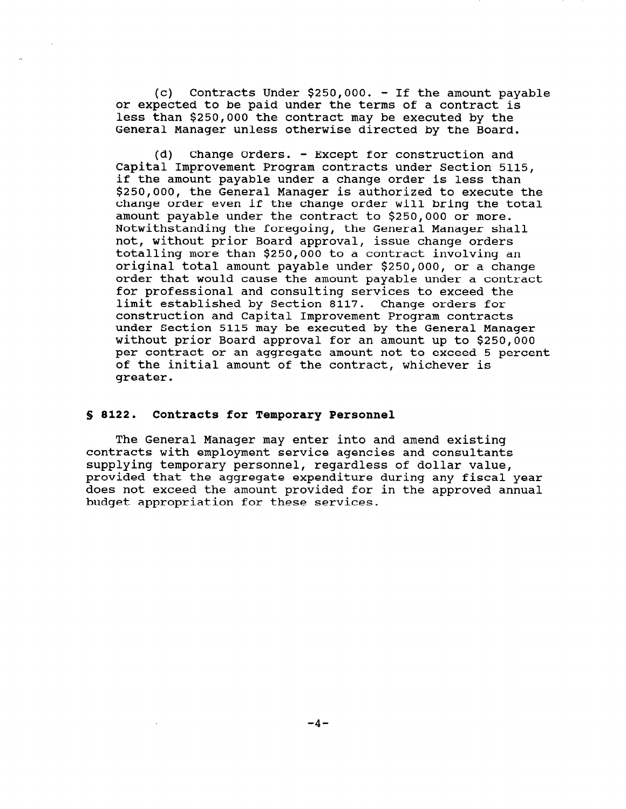(c) Contracts Under \$250,000. - If the amount payable or expected to be paid under the terms of a contract is less than \$250,000 the contract may be executed by the General Manager unless otherwise directed by the Board.

(d) Change Orders. - Except for construction and Capital Improvement Program contracts under Section 5115, if the amount payable under a change order is less than \$250,000, the General Manager is authorized to execute the change order even if the change order will bring the total amount payable under the contract to \$250,000 or more. Notwithstanding the foregoing, the General Manager shall not, without prior Board approval, issue change orders totalling more than \$250,000 to a contract involving an original total amount payable under \$250,000, or a change order that would cause the amount payable under a contract for professional and consulting services to exceed the limit established by Section 8117. Change orders for construction and Capital Improvement Program contracts under Section 5115 may be executed by the General Manager without prior Board approval for an amount up to \$250,000 per contract or an aggregate amount not to exceed 5 percent of the initial amount of the contract, whichever is greater.

### \$ 8122. Contracts for Temporary Personnel

The General Manager may enter into and amend existing contracts with employment service agencies and consultants supplying temporary personnel, regardless of dollar value, provided that the aggregate expenditure during any fiscal year does not exceed the amount provided for in the approved annual budget appropriation for these services.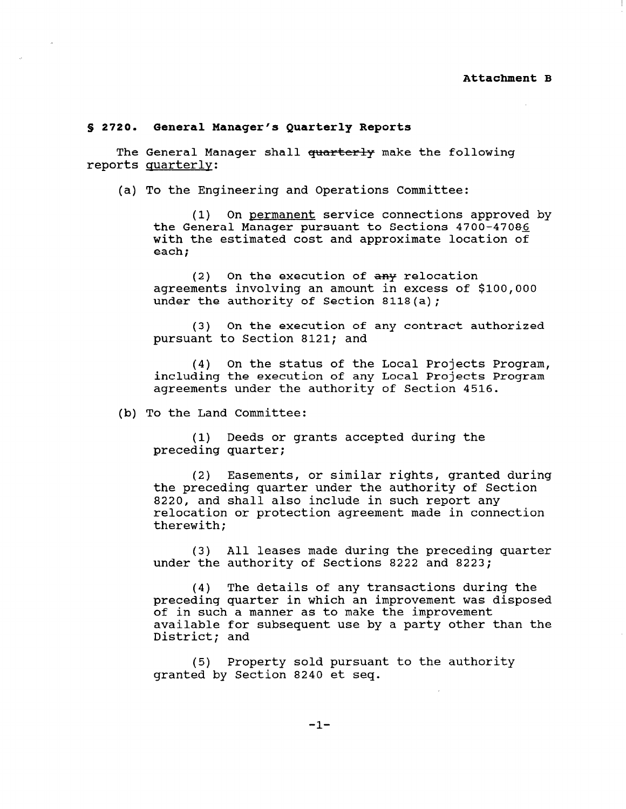### S 2720. General Manager's Quarterly Reports

The General Manager shall quarterly make the following reports quarterly:

(a) To the Engineering and Operations Committee:

(1) On permanent service connections approved by the General Manager pursuant to Sections 4700-47085 with the estimated cost and approximate location of each;

(2) On the execution of any relocation agreements involving an amount in excess of \$100,000 under the authority of Section 8118(a);

(3) On the execution of any contract authorized pursuant to Section 8121; and

(4) On the status of the Local Projects Program, including the execution of any Local Projects Program agreements under the authority of Section 4516.

(b) To the Land Committee:

(1) Deeds or grants accepted during the preceding quarter;

(2) Easements, or similar rights, granted during the preceding quarter under the authority of Section 8220, and shall also include in such report any relocation or protection agreement made in connection therewith;

(3) All leases made during the preceding quarter under the authority of Sections 8222 and 8223;

(4) The details of any transactions during the preceding quarter in which an improvement was disposed of in such a manner as to make the improvement  $\alpha$  is a party of subsequent use  $\alpha$  and  $\alpha$  party other than the  $\alpha$ avaiiable for<br>District: and

(5) Property sold pursuant to the authority granted by Section 8240 et seq.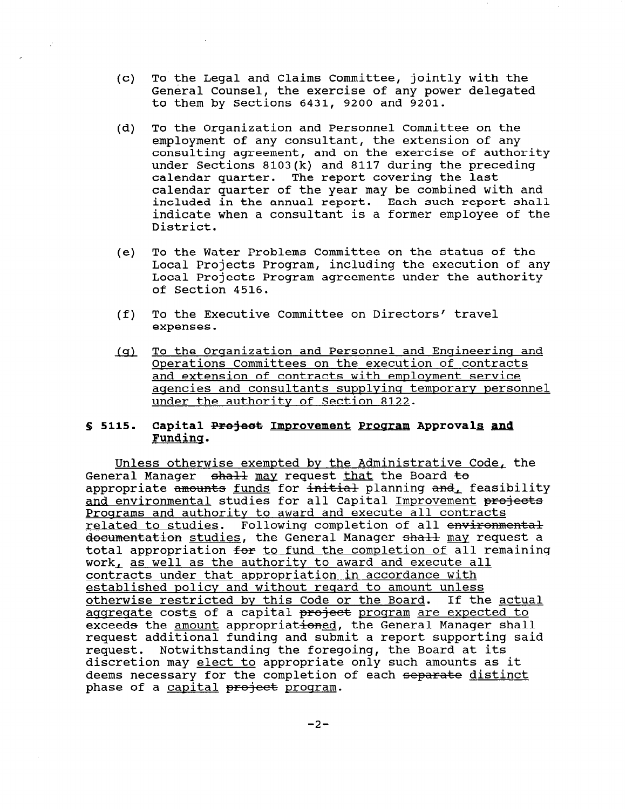- $(c)$ To' the Legal and Claims Committee, jointly with the General Counsel, the exercise of any power delegated to them by Sections 6431, 9200 and 9201.
- (d) To the Organization and Personnel Committee on the employment of any consultant, the extension of any consulting agreement, and on the exercise of authority under Sections 8103(k) and 8117 during the preceding calendar quarter. The report covering the last calendar quarter of the year may be combined with and included in the annual report. Each such report shall indicate when a consultant is a former employee of the District.
- (e) To the Water Problems Committee on the status of the Local Projects Program, including the execution of any Local Projects Program agreements under the authority of Section 4516.
- To the Executive Committee on Directors' travel  $(f)$ expenses.
- To the Organization and Personnel and Engineering and  $(q)$ Onerations Committees on the execution of contracts and extension of contracts with employment service aqencies and consultants supplyinq temporary personnel under the authority of Section 8122.

#### $$5115.$ Capital Project Improvement Program Approvals and Fundinq.

Unless otherwise exempted by the Administrative Code, the General Manager shall may request that the Board to appropriate  $\frac{1}{2}$  funds for  $\frac{1}{2}$  initial planning and, feasibility and environmental studies for all Capital Improvement projects Programs and authority to award and execute all contracts related to studies. Following completion of all environmental documentation studies, the General Manager shall may request a total appropriation for to fund the completion of all remaining work, as well as the authority to award and execute all contracts under that appropriation in accordance with concracts under that appropriation in accordance with continued pointy and without regard to amount unitss otherwise restricted by this Code or the Board. If the actual<br>aggregate costs of a capital project program are expected to exceeds the amount appropriationed, the General Manager shall request additional funding and qubmit a report quanorting gaid request auditional funding and submit a report supporting discretion may elect to appropriate only such amounts as it discretion may elect to appropriate only such amounts as deems necessary for the completion of each separate distinct<br>phase of a capital project program.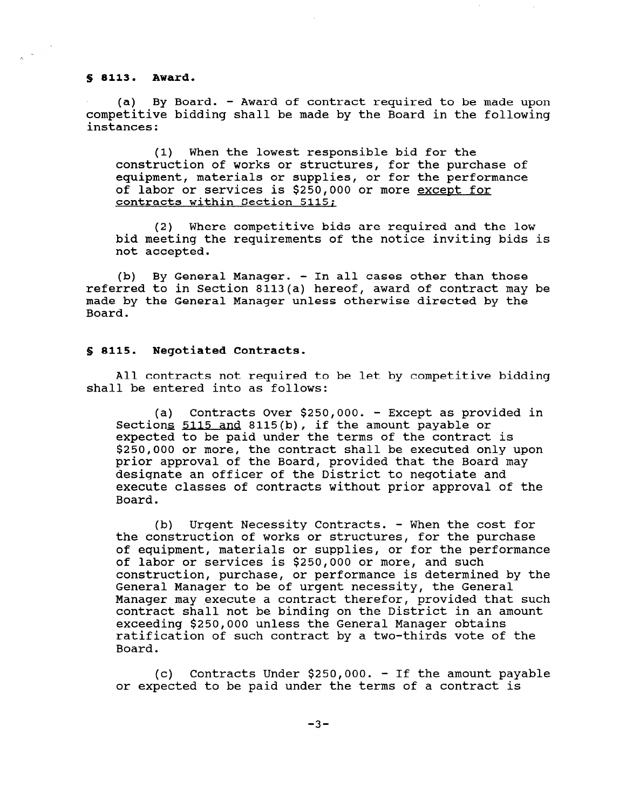s 8113. Award.

(a) By Board. - Award of contract required to be made upon competitive bidding shall be made by the Board in the following instances:

(1) When the lowest responsible bid for the construction of works or structures, for the purchase of equipment, materials or supplies, or for the performance of labor or services is \$250,000 or more except for contracts within Section 5115:

(2) Where competitive bids are required and the low bid meeting the requirements of the notice inviting bids is not accepted.

(b) By General Manager. - In all cases other than those referred to in Section 8113(a) hereof, award of contract may be made by the General Manager unless otherwise directed by the Board.

### 5 8115. Negotiated Contracts.

All contracts not required to be let by competitive bidding shall be entered into as follows:

(a) Contracts Over \$250,000, - Except as provided in Sections 5115 and 8115(b), if the amount payable or ecocrome <u>cree and</u> crre(x), it the amount pajaxie of<br>expected to be paid under the terms of the contract is \$250,000 or more, the contract shall be executed only upon prior approval of the Board, provided that the Board may designate an officer of the District to negotiate and execute classes of contracts without prior approval of the Board.

(b) Urgent Necessity Contracts. - When the cost for the construction of works or structures, for the purchase of equipment, materials or supplies, or for the performance of labor or services is \$250,000 or more, and such construction, purchase, or performance is determined by the General Manager to be of urgent necessity, the General Manager may execute a contract therefor, provided that such nanayer may execute a contract therefor, provided that sud<br>contract shall not be binding on the District in an amount contract shall not be binding on the District in an amount exceeding \$250,000 unless the General Manager obtains ratification of such contract by a two-thirds vote of the Board.

 $(c)$  Contracts Under \$250,000. - If the amount payable or expected to be paid under the terms of a contract is